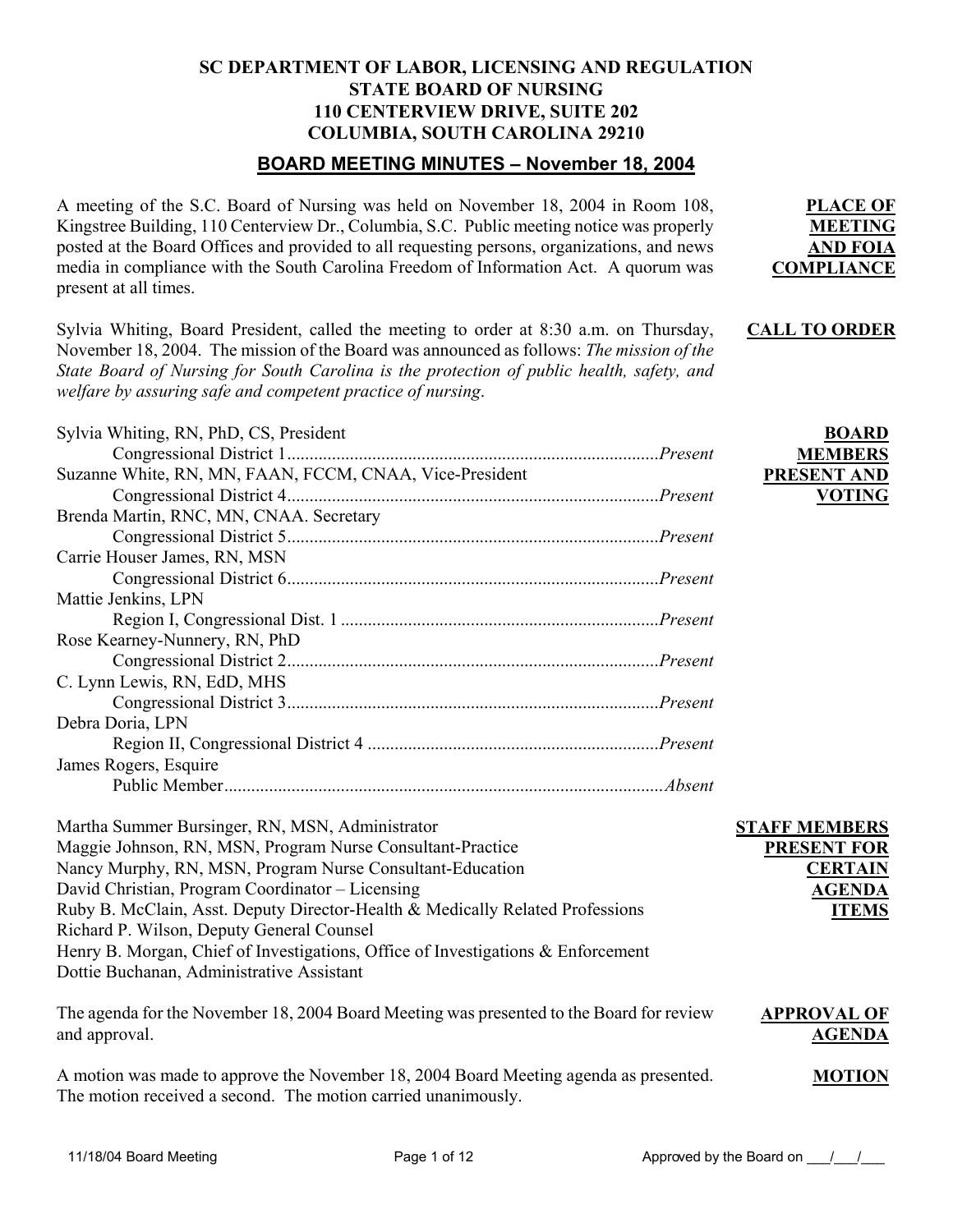# **SC DEPARTMENT OF LABOR, LICENSING AND REGULATION STATE BOARD OF NURSING 110 CENTERVIEW DRIVE, SUITE 202 COLUMBIA, SOUTH CAROLINA 29210**

# **BOARD MEETING MINUTES – November 18, 2004**

A meeting of the S.C. Board of Nursing was held on November 18, 2004 in Room 108, Kingstree Building, 110 Centerview Dr., Columbia, S.C. Public meeting notice was properly posted at the Board Offices and provided to all requesting persons, organizations, and news media in compliance with the South Carolina Freedom of Information Act. A quorum was present at all times.

Sylvia Whiting, Board President, called the meeting to order at 8:30 a.m. on Thursday, November 18, 2004. The mission of the Board was announced as follows: *The mission of the State Board of Nursing for South Carolina is the protection of public health, safety, and welfare by assuring safe and competent practice of nursing*. **CALL TO ORDER**

| Sylvia Whiting, RN, PhD, CS, President                                           | <b>BOARD</b>         |
|----------------------------------------------------------------------------------|----------------------|
|                                                                                  | <b>MEMBERS</b>       |
| Suzanne White, RN, MN, FAAN, FCCM, CNAA, Vice-President                          | PRESENT AND          |
|                                                                                  | <b>VOTING</b>        |
| Brenda Martin, RNC, MN, CNAA. Secretary                                          |                      |
|                                                                                  |                      |
| Carrie Houser James, RN, MSN                                                     |                      |
|                                                                                  |                      |
| Mattie Jenkins, LPN                                                              |                      |
|                                                                                  |                      |
| Rose Kearney-Nunnery, RN, PhD                                                    |                      |
|                                                                                  |                      |
| C. Lynn Lewis, RN, EdD, MHS                                                      |                      |
|                                                                                  |                      |
| Debra Doria, LPN                                                                 |                      |
|                                                                                  |                      |
| James Rogers, Esquire                                                            |                      |
|                                                                                  |                      |
| Martha Summer Bursinger, RN, MSN, Administrator                                  | <b>STAFF MEMBERS</b> |
| Maggie Johnson, RN, MSN, Program Nurse Consultant-Practice                       | <b>PRESENT FOR</b>   |
| Nancy Murphy, RN, MSN, Program Nurse Consultant-Education                        | <b>CERTAIN</b>       |
| David Christian, Program Coordinator – Licensing                                 | <b>AGENDA</b>        |
| Ruby B. McClain, Asst. Deputy Director-Health & Medically Related Professions    | <b>ITEMS</b>         |
| Richard P. Wilson, Deputy General Counsel                                        |                      |
| Henry B. Morgan, Chief of Investigations, Office of Investigations & Enforcement |                      |
| Dottie Buchanan, Administrative Assistant                                        |                      |

| The agenda for the November 18, 2004 Board Meeting was presented to the Board for review | <b>APPROVAL OF</b> |  |
|------------------------------------------------------------------------------------------|--------------------|--|
| and approval.                                                                            | <b>AGENDA</b>      |  |
| A motion was made to approve the November 18, 2004 Board Meeting agenda as presented.    | <b>MOTION</b>      |  |

The motion received a second. The motion carried unanimously.

**PLACE OF MEETING AND FOIA COMPLIANCE**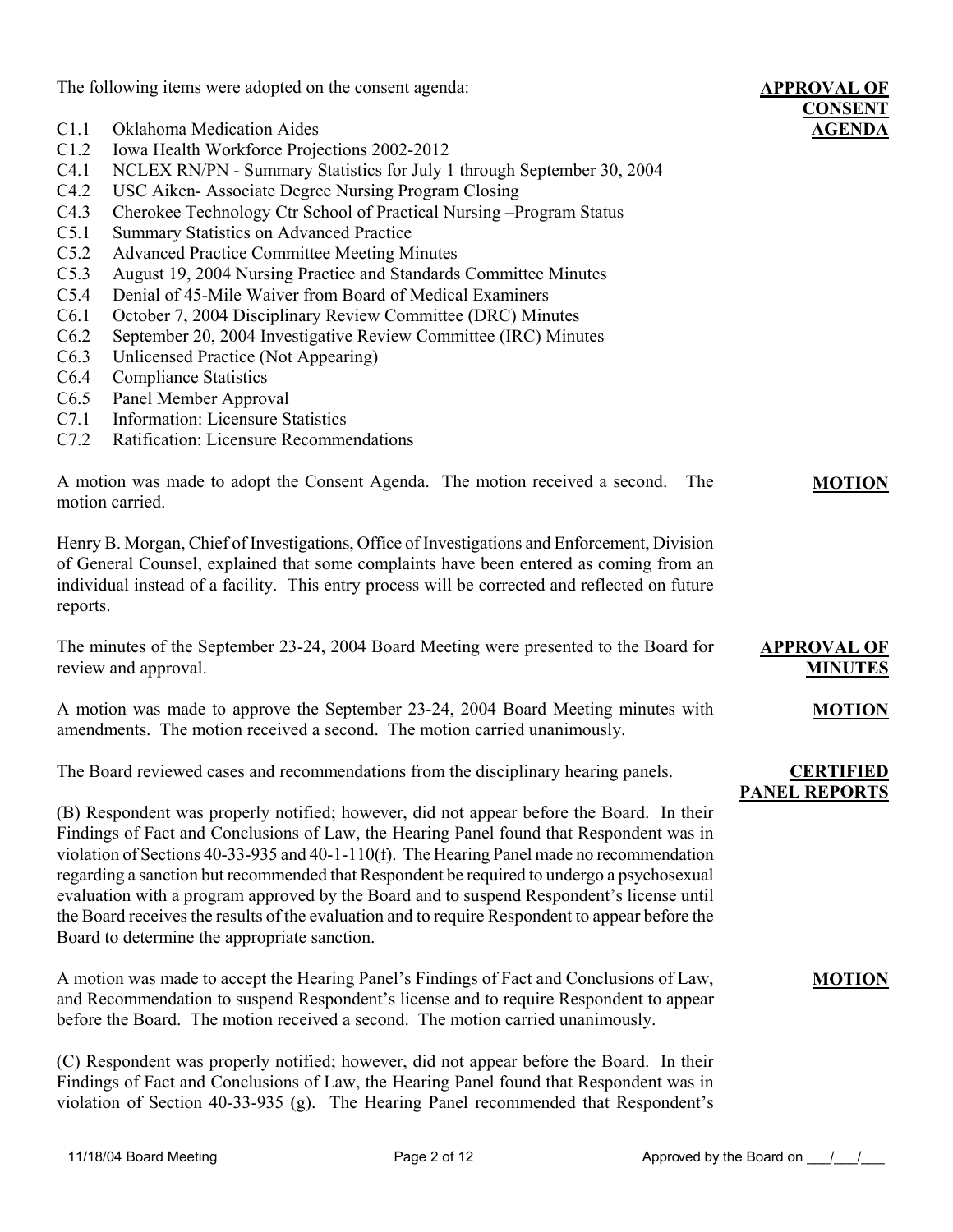The following items were adopted on the consent agenda:

|          |                                                                                                                                                                                         | <b>CONSENT</b>       |  |  |  |  |
|----------|-----------------------------------------------------------------------------------------------------------------------------------------------------------------------------------------|----------------------|--|--|--|--|
| C1.1     | <b>Oklahoma Medication Aides</b>                                                                                                                                                        | <b>AGENDA</b>        |  |  |  |  |
| C1.2     | Iowa Health Workforce Projections 2002-2012                                                                                                                                             |                      |  |  |  |  |
| C4.1     | NCLEX RN/PN - Summary Statistics for July 1 through September 30, 2004                                                                                                                  |                      |  |  |  |  |
| C4.2     | USC Aiken-Associate Degree Nursing Program Closing                                                                                                                                      |                      |  |  |  |  |
| C4.3     | Cherokee Technology Ctr School of Practical Nursing - Program Status                                                                                                                    |                      |  |  |  |  |
| C5.1     | <b>Summary Statistics on Advanced Practice</b>                                                                                                                                          |                      |  |  |  |  |
| C5.2     | <b>Advanced Practice Committee Meeting Minutes</b>                                                                                                                                      |                      |  |  |  |  |
| C5.3     | August 19, 2004 Nursing Practice and Standards Committee Minutes                                                                                                                        |                      |  |  |  |  |
| C5.4     | Denial of 45-Mile Waiver from Board of Medical Examiners                                                                                                                                |                      |  |  |  |  |
| C6.1     | October 7, 2004 Disciplinary Review Committee (DRC) Minutes                                                                                                                             |                      |  |  |  |  |
| C6.2     | September 20, 2004 Investigative Review Committee (IRC) Minutes                                                                                                                         |                      |  |  |  |  |
| C6.3     | Unlicensed Practice (Not Appearing)                                                                                                                                                     |                      |  |  |  |  |
| C6.4     | <b>Compliance Statistics</b>                                                                                                                                                            |                      |  |  |  |  |
| C6.5     | Panel Member Approval                                                                                                                                                                   |                      |  |  |  |  |
| C7.1     | <b>Information: Licensure Statistics</b>                                                                                                                                                |                      |  |  |  |  |
| C7.2     | Ratification: Licensure Recommendations                                                                                                                                                 |                      |  |  |  |  |
|          |                                                                                                                                                                                         |                      |  |  |  |  |
|          | A motion was made to adopt the Consent Agenda. The motion received a second.<br>The                                                                                                     | <b>MOTION</b>        |  |  |  |  |
|          | motion carried.                                                                                                                                                                         |                      |  |  |  |  |
|          |                                                                                                                                                                                         |                      |  |  |  |  |
|          | Henry B. Morgan, Chief of Investigations, Office of Investigations and Enforcement, Division                                                                                            |                      |  |  |  |  |
|          | of General Counsel, explained that some complaints have been entered as coming from an                                                                                                  |                      |  |  |  |  |
|          | individual instead of a facility. This entry process will be corrected and reflected on future                                                                                          |                      |  |  |  |  |
| reports. |                                                                                                                                                                                         |                      |  |  |  |  |
|          |                                                                                                                                                                                         |                      |  |  |  |  |
|          | The minutes of the September 23-24, 2004 Board Meeting were presented to the Board for                                                                                                  | <b>APPROVAL OF</b>   |  |  |  |  |
|          | review and approval.                                                                                                                                                                    | <b>MINUTES</b>       |  |  |  |  |
|          |                                                                                                                                                                                         |                      |  |  |  |  |
|          | A motion was made to approve the September 23-24, 2004 Board Meeting minutes with                                                                                                       | <b>MOTION</b>        |  |  |  |  |
|          | amendments. The motion received a second. The motion carried unanimously.                                                                                                               |                      |  |  |  |  |
|          | The Board reviewed cases and recommendations from the disciplinary hearing panels.                                                                                                      | <b>CERTIFIED</b>     |  |  |  |  |
|          |                                                                                                                                                                                         | <b>PANEL REPORTS</b> |  |  |  |  |
|          |                                                                                                                                                                                         |                      |  |  |  |  |
|          | (B) Respondent was properly notified; however, did not appear before the Board. In their                                                                                                |                      |  |  |  |  |
|          | Findings of Fact and Conclusions of Law, the Hearing Panel found that Respondent was in<br>violation of Sections 40-33-935 and 40-1-110(f). The Hearing Panel made no recommendation    |                      |  |  |  |  |
|          |                                                                                                                                                                                         |                      |  |  |  |  |
|          | regarding a sanction but recommended that Respondent be required to undergo a psychosexual<br>evaluation with a program approved by the Board and to suspend Respondent's license until |                      |  |  |  |  |
|          |                                                                                                                                                                                         |                      |  |  |  |  |
|          | the Board receives the results of the evaluation and to require Respondent to appear before the                                                                                         |                      |  |  |  |  |
|          | Board to determine the appropriate sanction.                                                                                                                                            |                      |  |  |  |  |
|          | A motion was made to accept the Hearing Panel's Findings of Fact and Conclusions of Law,                                                                                                |                      |  |  |  |  |
|          | and Recommendation to suspend Respondent's license and to require Respondent to appear                                                                                                  | <b>MOTION</b>        |  |  |  |  |
|          | before the Board. The motion received a second. The motion carried unanimously.                                                                                                         |                      |  |  |  |  |
|          |                                                                                                                                                                                         |                      |  |  |  |  |
|          | (C) Respondent was properly notified; however, did not appear before the Board. In their                                                                                                |                      |  |  |  |  |
|          | Findings of Fact and Conclusions of Law, the Hearing Panel found that Respondent was in                                                                                                 |                      |  |  |  |  |

violation of Section 40-33-935 (g). The Hearing Panel recommended that Respondent's

**APPROVAL OF**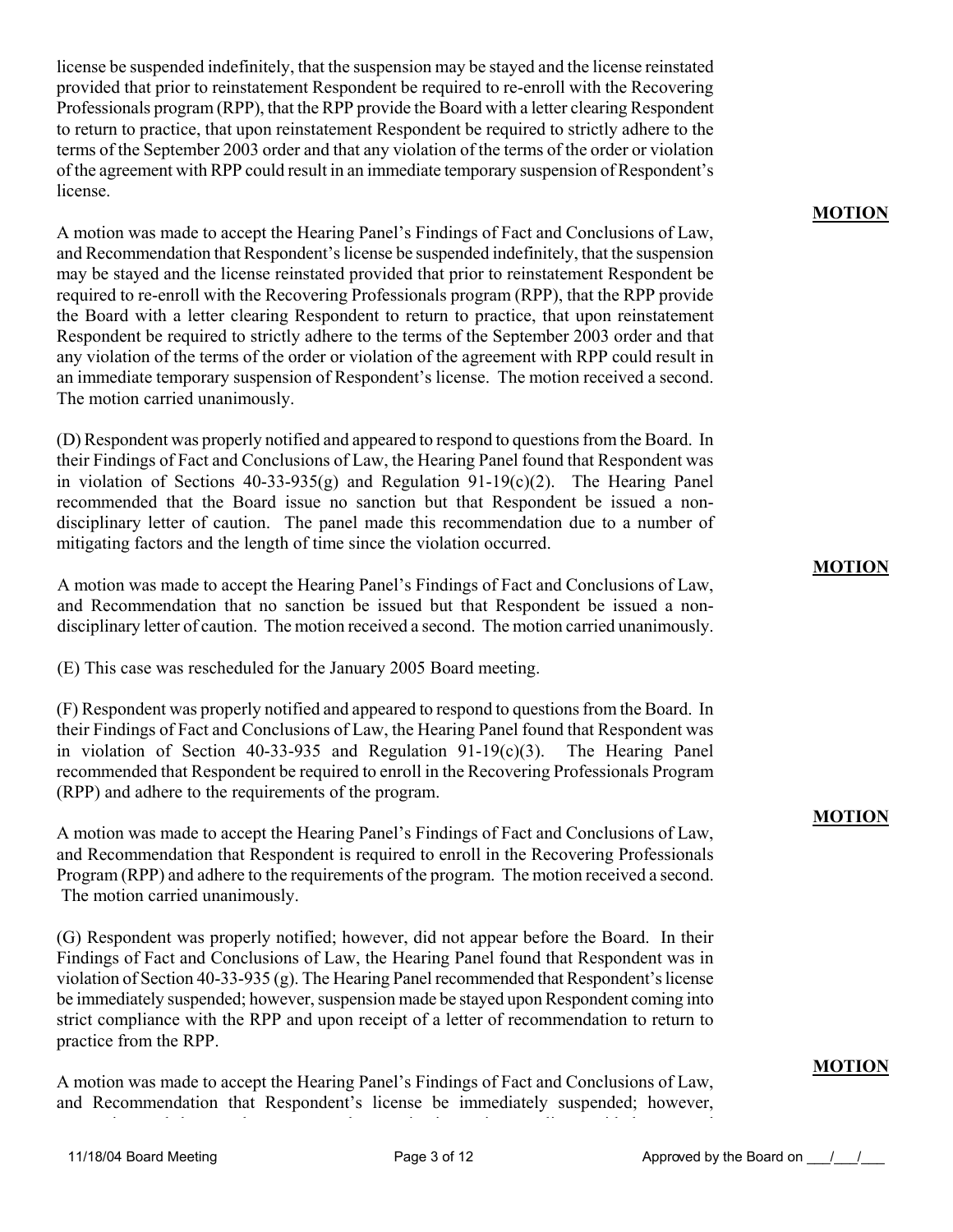license be suspended indefinitely, that the suspension may be stayed and the license reinstated provided that prior to reinstatement Respondent be required to re-enroll with the Recovering Professionals program (RPP), that the RPP provide the Board with a letter clearing Respondent to return to practice, that upon reinstatement Respondent be required to strictly adhere to the terms of the September 2003 order and that any violation of the terms of the order or violation of the agreement with RPP could result in an immediate temporary suspension of Respondent's license.

A motion was made to accept the Hearing Panel's Findings of Fact and Conclusions of Law, and Recommendation that Respondent's license be suspended indefinitely, that the suspension may be stayed and the license reinstated provided that prior to reinstatement Respondent be required to re-enroll with the Recovering Professionals program (RPP), that the RPP provide the Board with a letter clearing Respondent to return to practice, that upon reinstatement Respondent be required to strictly adhere to the terms of the September 2003 order and that any violation of the terms of the order or violation of the agreement with RPP could result in an immediate temporary suspension of Respondent's license. The motion received a second. The motion carried unanimously.

(D) Respondent was properly notified and appeared to respond to questions from the Board. In their Findings of Fact and Conclusions of Law, the Hearing Panel found that Respondent was in violation of Sections 40-33-935(g) and Regulation 91-19(c)(2). The Hearing Panel recommended that the Board issue no sanction but that Respondent be issued a nondisciplinary letter of caution. The panel made this recommendation due to a number of mitigating factors and the length of time since the violation occurred.

A motion was made to accept the Hearing Panel's Findings of Fact and Conclusions of Law, and Recommendation that no sanction be issued but that Respondent be issued a nondisciplinary letter of caution. The motion received a second. The motion carried unanimously.

(E) This case was rescheduled for the January 2005 Board meeting.

(F) Respondent was properly notified and appeared to respond to questions from the Board. In their Findings of Fact and Conclusions of Law, the Hearing Panel found that Respondent was in violation of Section 40-33-935 and Regulation 91-19(c)(3). The Hearing Panel recommended that Respondent be required to enroll in the Recovering Professionals Program (RPP) and adhere to the requirements of the program.

A motion was made to accept the Hearing Panel's Findings of Fact and Conclusions of Law, and Recommendation that Respondent is required to enroll in the Recovering Professionals Program (RPP) and adhere to the requirements of the program. The motion received a second. The motion carried unanimously.

(G) Respondent was properly notified; however, did not appear before the Board. In their Findings of Fact and Conclusions of Law, the Hearing Panel found that Respondent was in violation of Section 40-33-935 (g). The Hearing Panel recommended that Respondent's license be immediately suspended; however, suspension made be stayed upon Respondent coming into strict compliance with the RPP and upon receipt of a letter of recommendation to return to practice from the RPP.

A motion was made to accept the Hearing Panel's Findings of Fact and Conclusions of Law, and Recommendation that Respondent's license be immediately suspended; however,

## **MOTION**

#### **MOTION**

## **MOTION**

#### **MOTION**

i d'an de desemble de la completa de la completa de la completa de la completa de la completa de la completa d<br>La completa de la completa de la completa de la completa de la completa de la completa de la completa de la co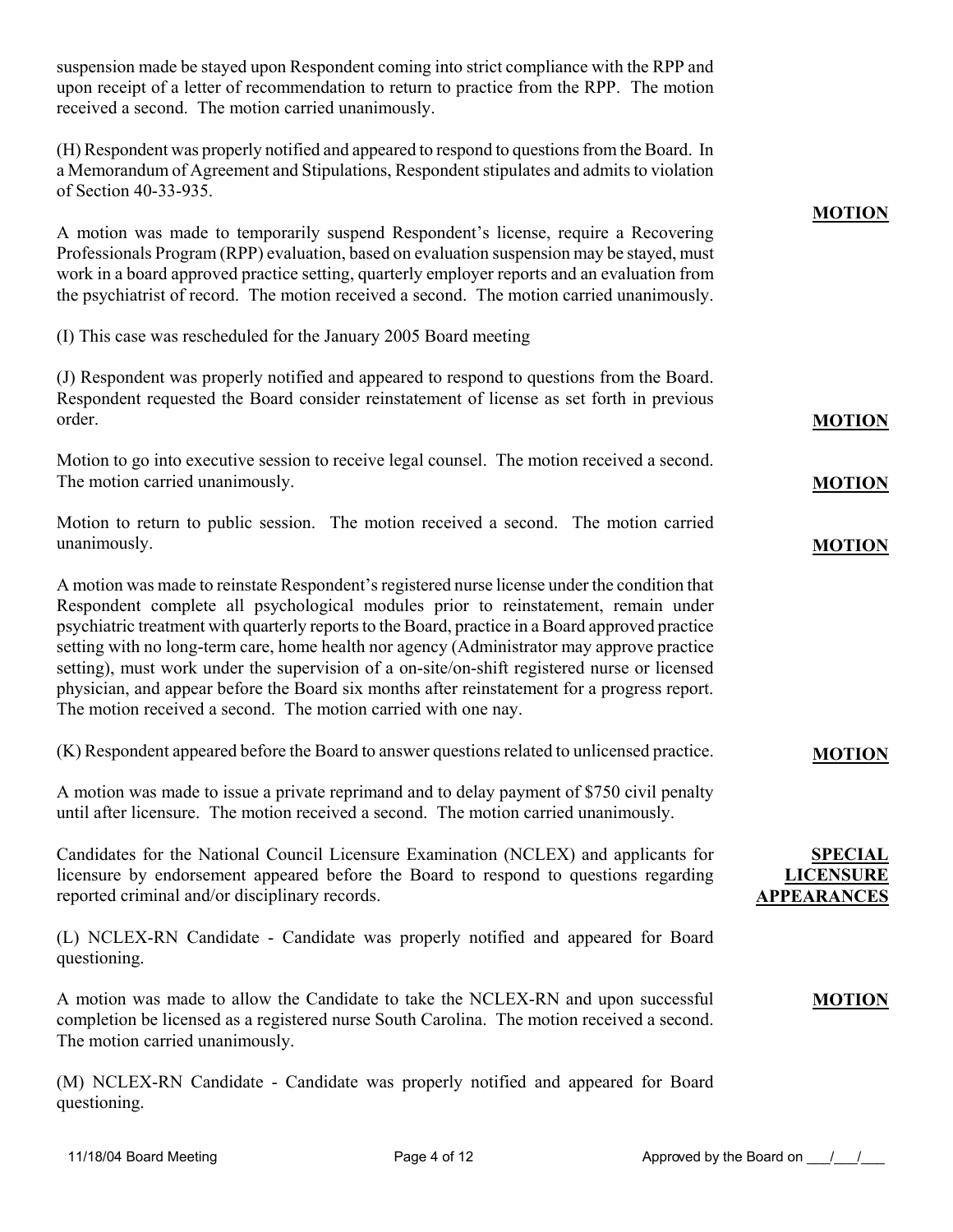suspension made be stayed upon Respondent coming into strict compliance with the RPP and upon receipt of a letter of recommendation to return to practice from the RPP. The motion received a second. The motion carried unanimously. (H) Respondent was properly notified and appeared to respond to questions from the Board. In a Memorandum of Agreement and Stipulations, Respondent stipulates and admits to violation of Section 40-33-935. A motion was made to temporarily suspend Respondent's license, require a Recovering Professionals Program (RPP) evaluation, based on evaluation suspension may be stayed, must work in a board approved practice setting, quarterly employer reports and an evaluation from the psychiatrist of record. The motion received a second. The motion carried unanimously. (I) This case was rescheduled for the January 2005 Board meeting (J) Respondent was properly notified and appeared to respond to questions from the Board. Respondent requested the Board consider reinstatement of license as set forth in previous order. Motion to go into executive session to receive legal counsel. The motion received a second. The motion carried unanimously. Motion to return to public session. The motion received a second. The motion carried unanimously. A motion was made to reinstate Respondent's registered nurse license under the condition that Respondent complete all psychological modules prior to reinstatement, remain under psychiatric treatment with quarterly reports to the Board, practice in a Board approved practice setting with no long-term care, home health nor agency (Administrator may approve practice setting), must work under the supervision of a on-site/on-shift registered nurse or licensed physician, and appear before the Board six months after reinstatement for a progress report. The motion received a second. The motion carried with one nay. (K) Respondent appeared before the Board to answer questions related to unlicensed practice. A motion was made to issue a private reprimand and to delay payment of \$750 civil penalty until after licensure. The motion received a second. The motion carried unanimously. **MOTION MOTION MOTION MOTION MOTION**  Candidates for the National Council Licensure Examination (NCLEX) and applicants for licensure by endorsement appeared before the Board to respond to questions regarding reported criminal and/or disciplinary records. (L) NCLEX-RN Candidate - Candidate was properly notified and appeared for Board questioning. **SPECIAL LICENSURE APPEARANCES**

A motion was made to allow the Candidate to take the NCLEX-RN and upon successful completion be licensed as a registered nurse South Carolina. The motion received a second. The motion carried unanimously.

(M) NCLEX-RN Candidate - Candidate was properly notified and appeared for Board questioning.

**MOTION**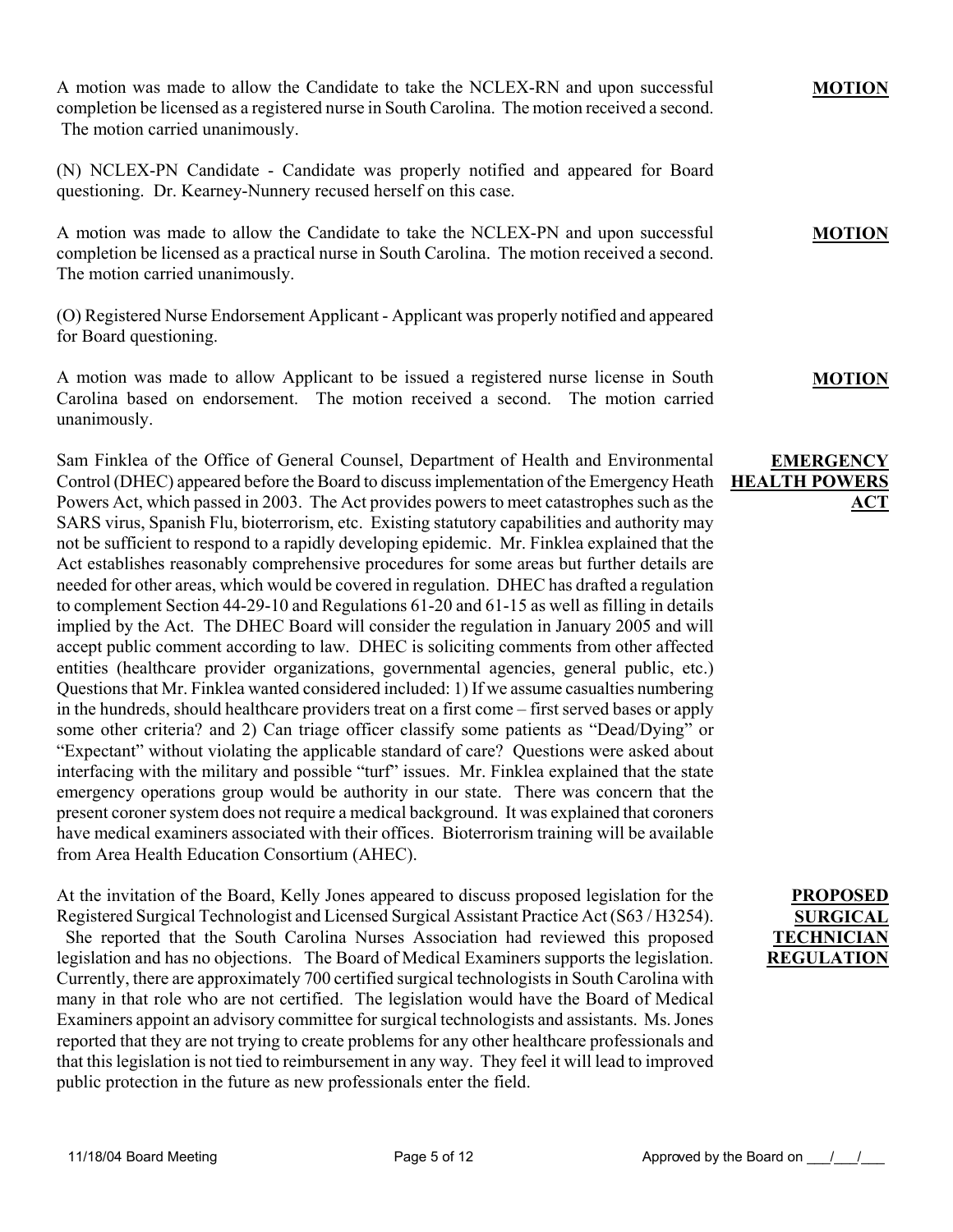A motion was made to allow the Candidate to take the NCLEX-RN and upon successful completion be licensed as a registered nurse in South Carolina. The motion received a second. The motion carried unanimously.

(N) NCLEX-PN Candidate - Candidate was properly notified and appeared for Board questioning. Dr. Kearney-Nunnery recused herself on this case.

A motion was made to allow the Candidate to take the NCLEX-PN and upon successful completion be licensed as a practical nurse in South Carolina. The motion received a second. The motion carried unanimously.

(O) Registered Nurse Endorsement Applicant - Applicant was properly notified and appeared for Board questioning.

A motion was made to allow Applicant to be issued a registered nurse license in South Carolina based on endorsement. The motion received a second. The motion carried unanimously.

Sam Finklea of the Office of General Counsel, Department of Health and Environmental Control (DHEC) appeared before the Board to discuss implementation of the Emergency Heath **HEALTH POWERS** Powers Act, which passed in 2003. The Act provides powers to meet catastrophes such as the SARS virus, Spanish Flu, bioterrorism, etc. Existing statutory capabilities and authority may not be sufficient to respond to a rapidly developing epidemic. Mr. Finklea explained that the Act establishes reasonably comprehensive procedures for some areas but further details are needed for other areas, which would be covered in regulation. DHEC has drafted a regulation to complement Section 44-29-10 and Regulations 61-20 and 61-15 as well as filling in details implied by the Act. The DHEC Board will consider the regulation in January 2005 and will accept public comment according to law. DHEC is soliciting comments from other affected entities (healthcare provider organizations, governmental agencies, general public, etc.) Questions that Mr. Finklea wanted considered included: 1) If we assume casualties numbering in the hundreds, should healthcare providers treat on a first come – first served bases or apply some other criteria? and 2) Can triage officer classify some patients as "Dead/Dying" or "Expectant" without violating the applicable standard of care? Questions were asked about interfacing with the military and possible "turf" issues. Mr. Finklea explained that the state emergency operations group would be authority in our state. There was concern that the present coroner system does not require a medical background. It was explained that coroners have medical examiners associated with their offices. Bioterrorism training will be available from Area Health Education Consortium (AHEC).

At the invitation of the Board, Kelly Jones appeared to discuss proposed legislation for the Registered Surgical Technologist and Licensed Surgical Assistant Practice Act (S63 / H3254). She reported that the South Carolina Nurses Association had reviewed this proposed legislation and has no objections. The Board of Medical Examiners supports the legislation. Currently, there are approximately 700 certified surgical technologists in South Carolina with many in that role who are not certified. The legislation would have the Board of Medical Examiners appoint an advisory committee for surgical technologists and assistants. Ms. Jones reported that they are not trying to create problems for any other healthcare professionals and that this legislation is not tied to reimbursement in any way. They feel it will lead to improved public protection in the future as new professionals enter the field.

**MOTION**

**MOTION**

**MOTION**

# **EMERGENCY ACT**

# **PROPOSED SURGICAL TECHNICIAN REGULATION**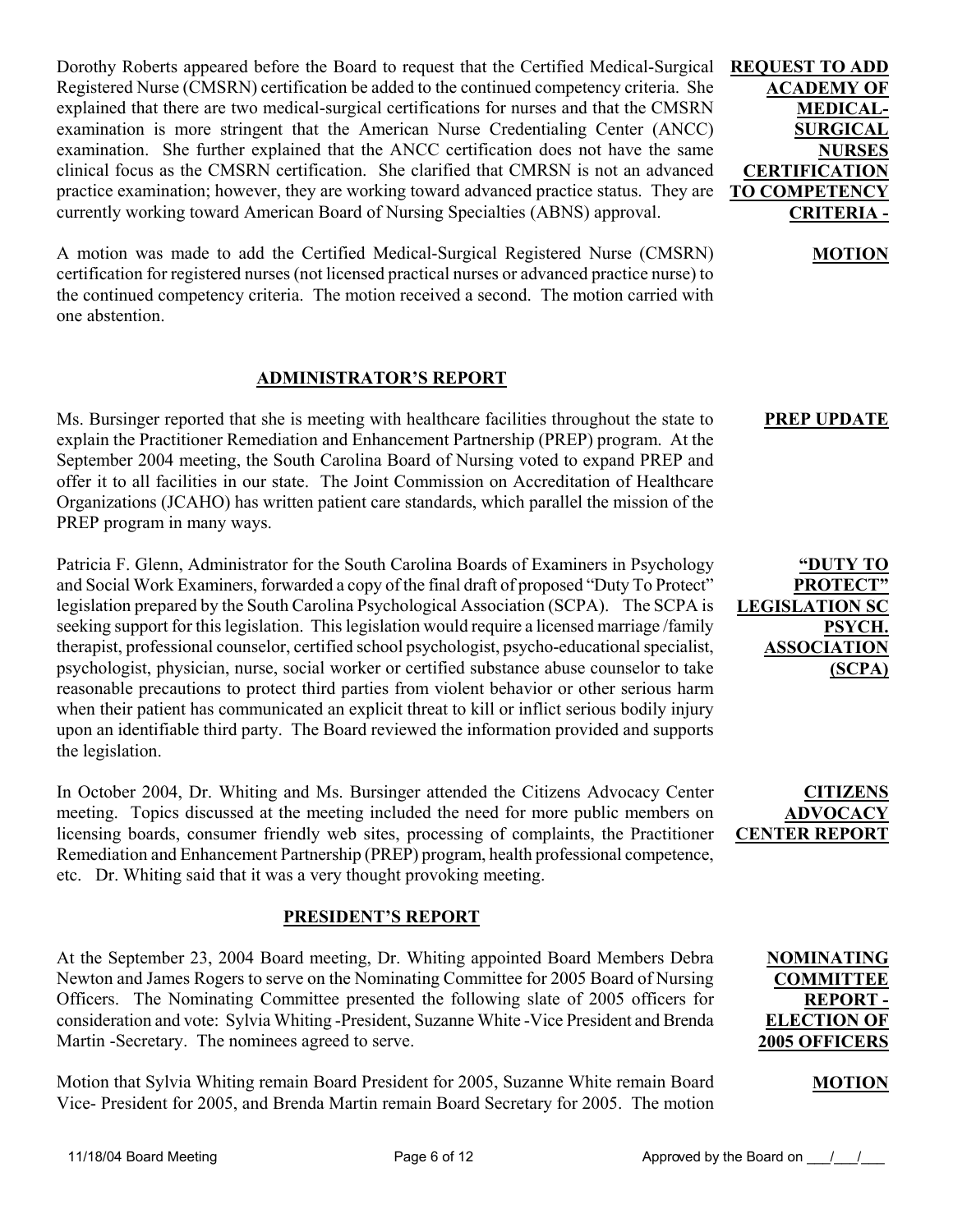Dorothy Roberts appeared before the Board to request that the Certified Medical-Surgical **REQUEST TO ADD**  Registered Nurse (CMSRN) certification be added to the continued competency criteria. She explained that there are two medical-surgical certifications for nurses and that the CMSRN examination is more stringent that the American Nurse Credentialing Center (ANCC) examination. She further explained that the ANCC certification does not have the same clinical focus as the CMSRN certification. She clarified that CMRSN is not an advanced practice examination; however, they are working toward advanced practice status. They are currently working toward American Board of Nursing Specialties (ABNS) approval.

A motion was made to add the Certified Medical-Surgical Registered Nurse (CMSRN) certification for registered nurses (not licensed practical nurses or advanced practice nurse) to the continued competency criteria. The motion received a second. The motion carried with one abstention.

## **ADMINISTRATOR'S REPORT**

Ms. Bursinger reported that she is meeting with healthcare facilities throughout the state to explain the Practitioner Remediation and Enhancement Partnership (PREP) program. At the September 2004 meeting, the South Carolina Board of Nursing voted to expand PREP and offer it to all facilities in our state. The Joint Commission on Accreditation of Healthcare Organizations (JCAHO) has written patient care standards, which parallel the mission of the PREP program in many ways.

Patricia F. Glenn, Administrator for the South Carolina Boards of Examiners in Psychology and Social Work Examiners, forwarded a copy of the final draft of proposed "Duty To Protect" legislation prepared by the South Carolina Psychological Association (SCPA). The SCPA is seeking support for this legislation. This legislation would require a licensed marriage /family therapist, professional counselor, certified school psychologist, psycho-educational specialist, psychologist, physician, nurse, social worker or certified substance abuse counselor to take reasonable precautions to protect third parties from violent behavior or other serious harm when their patient has communicated an explicit threat to kill or inflict serious bodily injury upon an identifiable third party. The Board reviewed the information provided and supports the legislation.

In October 2004, Dr. Whiting and Ms. Bursinger attended the Citizens Advocacy Center meeting. Topics discussed at the meeting included the need for more public members on licensing boards, consumer friendly web sites, processing of complaints, the Practitioner Remediation and Enhancement Partnership (PREP) program, health professional competence, etc. Dr. Whiting said that it was a very thought provoking meeting.

## **PRESIDENT'S REPORT**

At the September 23, 2004 Board meeting, Dr. Whiting appointed Board Members Debra Newton and James Rogers to serve on the Nominating Committee for 2005 Board of Nursing Officers. The Nominating Committee presented the following slate of 2005 officers for consideration and vote: Sylvia Whiting -President, Suzanne White -Vice President and Brenda Martin -Secretary. The nominees agreed to serve.

Motion that Sylvia Whiting remain Board President for 2005, Suzanne White remain Board Vice- President for 2005, and Brenda Martin remain Board Secretary for 2005. The motion

**ACADEMY OF MEDICAL-SURGICAL NURSES CERTIFICATION TO COMPETENCY CRITERIA -**

**MOTION** 

**PREP UPDATE**

**"DUTY TO PROTECT" LEGISLATION SC PSYCH. ASSOCIATION (SCPA)**

**CITIZENS ADVOCACY CENTER REPORT**

> **NOMINATING COMMITTEE REPORT - ELECTION OF 2005 OFFICERS**

> > **MOTION**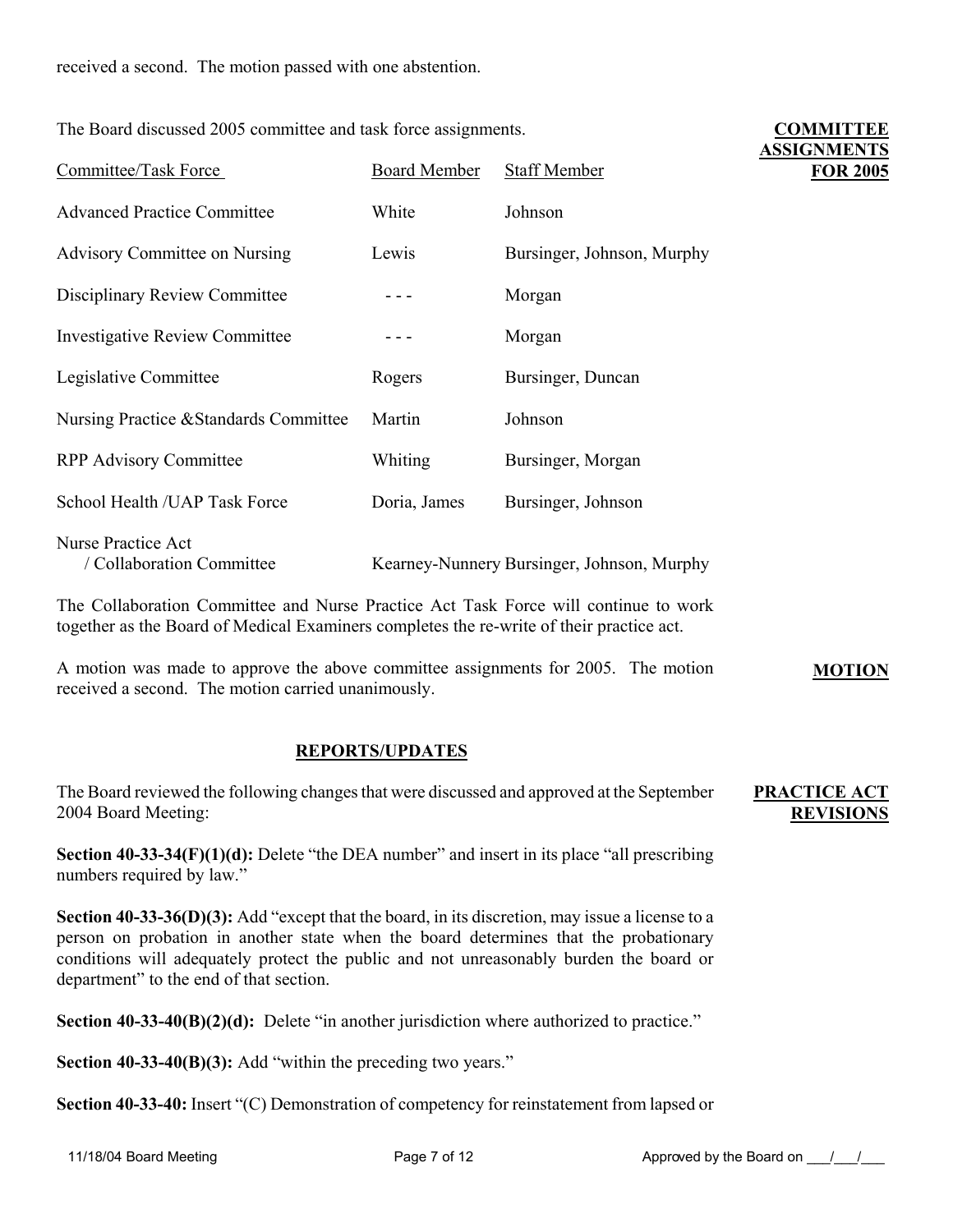The Board discussed 2005 committee and task force assignments.

| <b>Committee/Task Force</b>                                                           | <b>Board Member</b> | <b>Staff Member</b>                        | <b>ASSIGNMENTS</b><br><b>FOR 2005</b> |
|---------------------------------------------------------------------------------------|---------------------|--------------------------------------------|---------------------------------------|
| <b>Advanced Practice Committee</b>                                                    | White               | Johnson                                    |                                       |
| <b>Advisory Committee on Nursing</b>                                                  | Lewis               | Bursinger, Johnson, Murphy                 |                                       |
| Disciplinary Review Committee                                                         |                     | Morgan                                     |                                       |
| <b>Investigative Review Committee</b>                                                 |                     | Morgan                                     |                                       |
| Legislative Committee                                                                 | Rogers              | Bursinger, Duncan                          |                                       |
| Nursing Practice & Standards Committee                                                | Martin              | Johnson                                    |                                       |
| <b>RPP Advisory Committee</b>                                                         | Whiting             | Bursinger, Morgan                          |                                       |
| School Health / UAP Task Force                                                        | Doria, James        | Bursinger, Johnson                         |                                       |
| <b>Nurse Practice Act</b><br>/ Collaboration Committee                                |                     | Kearney-Nunnery Bursinger, Johnson, Murphy |                                       |
| The Cellebeartier Committee and Money Davidse, Ant Teel, Fears will continue to meal- |                     |                                            |                                       |

The Collaboration Committee and Nurse Practice Act Task Force will continue to work together as the Board of Medical Examiners completes the re-write of their practice act.

A motion was made to approve the above committee assignments for 2005. The motion received a second. The motion carried unanimously.

# **REPORTS/UPDATES**

The Board reviewed the following changes that were discussed and approved at the September 2004 Board Meeting:

**Section 40-33-34(F)(1)(d):** Delete "the DEA number" and insert in its place "all prescribing numbers required by law."

**Section 40-33-36(D)(3):** Add "except that the board, in its discretion, may issue a license to a person on probation in another state when the board determines that the probationary conditions will adequately protect the public and not unreasonably burden the board or department" to the end of that section.

**Section 40-33-40(B)(2)(d):** Delete "in another jurisdiction where authorized to practice."

**Section 40-33-40(B)(3):** Add "within the preceding two years."

**Section 40-33-40:** Insert "(C) Demonstration of competency for reinstatement from lapsed or

**COMMITTEE** 

**MOTION**

**PRACTICE ACT REVISIONS**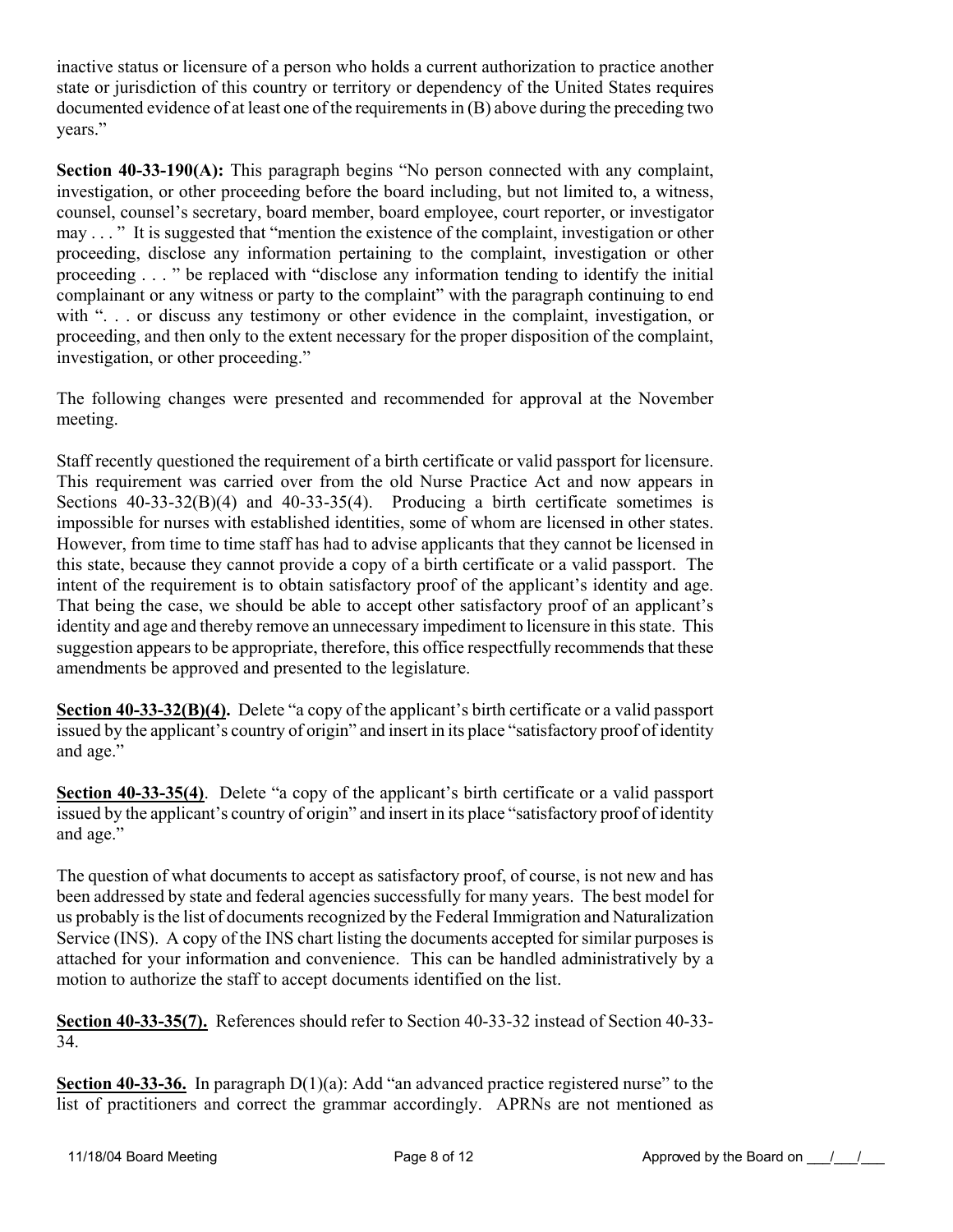inactive status or licensure of a person who holds a current authorization to practice another state or jurisdiction of this country or territory or dependency of the United States requires documented evidence of at least one of the requirements in (B) above during the preceding two years."

**Section 40-33-190(A):** This paragraph begins "No person connected with any complaint, investigation, or other proceeding before the board including, but not limited to, a witness, counsel, counsel's secretary, board member, board employee, court reporter, or investigator may . . . " It is suggested that "mention the existence of the complaint, investigation or other proceeding, disclose any information pertaining to the complaint, investigation or other proceeding . . . " be replaced with "disclose any information tending to identify the initial complainant or any witness or party to the complaint" with the paragraph continuing to end with "... or discuss any testimony or other evidence in the complaint, investigation, or proceeding, and then only to the extent necessary for the proper disposition of the complaint, investigation, or other proceeding."

The following changes were presented and recommended for approval at the November meeting.

Staff recently questioned the requirement of a birth certificate or valid passport for licensure. This requirement was carried over from the old Nurse Practice Act and now appears in Sections  $40-33-32(B)(4)$  and  $40-33-35(4)$ . Producing a birth certificate sometimes is impossible for nurses with established identities, some of whom are licensed in other states. However, from time to time staff has had to advise applicants that they cannot be licensed in this state, because they cannot provide a copy of a birth certificate or a valid passport. The intent of the requirement is to obtain satisfactory proof of the applicant's identity and age. That being the case, we should be able to accept other satisfactory proof of an applicant's identity and age and thereby remove an unnecessary impediment to licensure in this state. This suggestion appears to be appropriate, therefore, this office respectfully recommends that these amendments be approved and presented to the legislature.

**Section 40-33-32(B)(4).** Delete "a copy of the applicant's birth certificate or a valid passport issued by the applicant's country of origin" and insert in its place "satisfactory proof of identity and age."

**Section 40-33-35(4)**. Delete "a copy of the applicant's birth certificate or a valid passport issued by the applicant's country of origin" and insert in its place "satisfactory proof of identity and age."

The question of what documents to accept as satisfactory proof, of course, is not new and has been addressed by state and federal agencies successfully for many years. The best model for us probably is the list of documents recognized by the Federal Immigration and Naturalization Service (INS). A copy of the INS chart listing the documents accepted for similar purposes is attached for your information and convenience. This can be handled administratively by a motion to authorize the staff to accept documents identified on the list.

**Section 40-33-35(7).** References should refer to Section 40-33-32 instead of Section 40-33- 34.

**Section 40-33-36.** In paragraph  $D(1)(a)$ : Add "an advanced practice registered nurse" to the list of practitioners and correct the grammar accordingly. APRNs are not mentioned as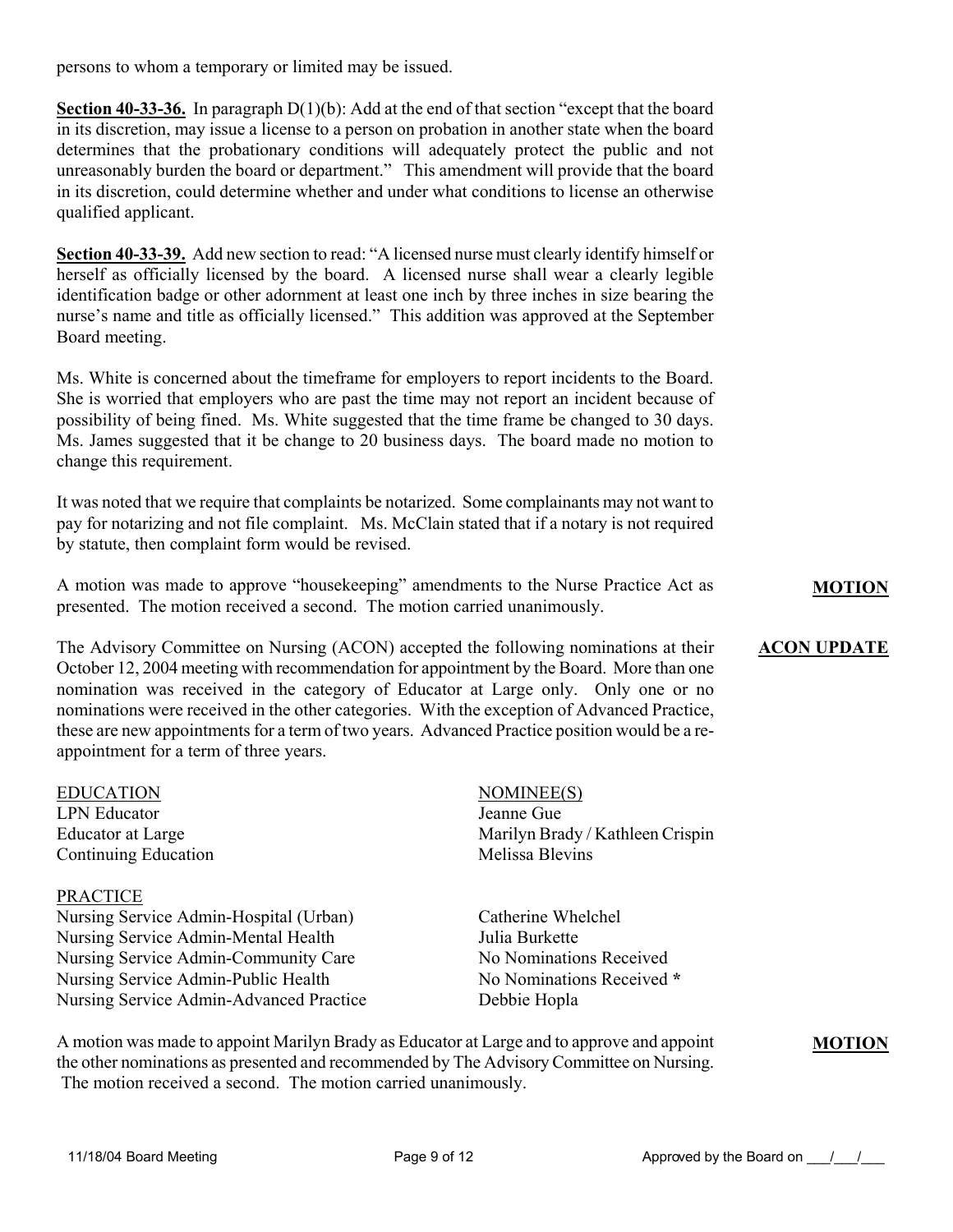persons to whom a temporary or limited may be issued.

**Section 40-33-36.** In paragraph D(1)(b): Add at the end of that section "except that the board in its discretion, may issue a license to a person on probation in another state when the board determines that the probationary conditions will adequately protect the public and not unreasonably burden the board or department." This amendment will provide that the board in its discretion, could determine whether and under what conditions to license an otherwise qualified applicant.

**Section 40-33-39.** Add new section to read: "A licensed nurse must clearly identify himself or herself as officially licensed by the board. A licensed nurse shall wear a clearly legible identification badge or other adornment at least one inch by three inches in size bearing the nurse's name and title as officially licensed." This addition was approved at the September Board meeting.

Ms. White is concerned about the timeframe for employers to report incidents to the Board. She is worried that employers who are past the time may not report an incident because of possibility of being fined. Ms. White suggested that the time frame be changed to 30 days. Ms. James suggested that it be change to 20 business days. The board made no motion to change this requirement.

It was noted that we require that complaints be notarized. Some complainants may not want to pay for notarizing and not file complaint. Ms. McClain stated that if a notary is not required by statute, then complaint form would be revised.

A motion was made to approve "housekeeping" amendments to the Nurse Practice Act as presented. The motion received a second. The motion carried unanimously.

The Advisory Committee on Nursing (ACON) accepted the following nominations at their October 12, 2004 meeting with recommendation for appointment by the Board. More than one nomination was received in the category of Educator at Large only. Only one or no nominations were received in the other categories. With the exception of Advanced Practice, these are new appointments for a term of two years. Advanced Practice position would be a reappointment for a term of three years.

EDUCATION NOMINEE(S) LPN Educator Jeanne Gue Continuing Education Melissa Blevins

#### PRACTICE

Nursing Service Admin-Hospital (Urban) Catherine Whelchel Nursing Service Admin-Mental Health Julia Burkette Nursing Service Admin-Community Care No Nominations Received Nursing Service Admin-Public Health No Nominations Received **\*** Nursing Service Admin-Advanced Practice Debbie Hopla

Educator at Large The Marilyn Brady / Kathleen Crispin

A motion was made to appoint Marilyn Brady as Educator at Large and to approve and appoint the other nominations as presented and recommended by The Advisory Committee on Nursing. The motion received a second. The motion carried unanimously.

## **MOTION**

## **ACON UPDATE**

#### **MOTION**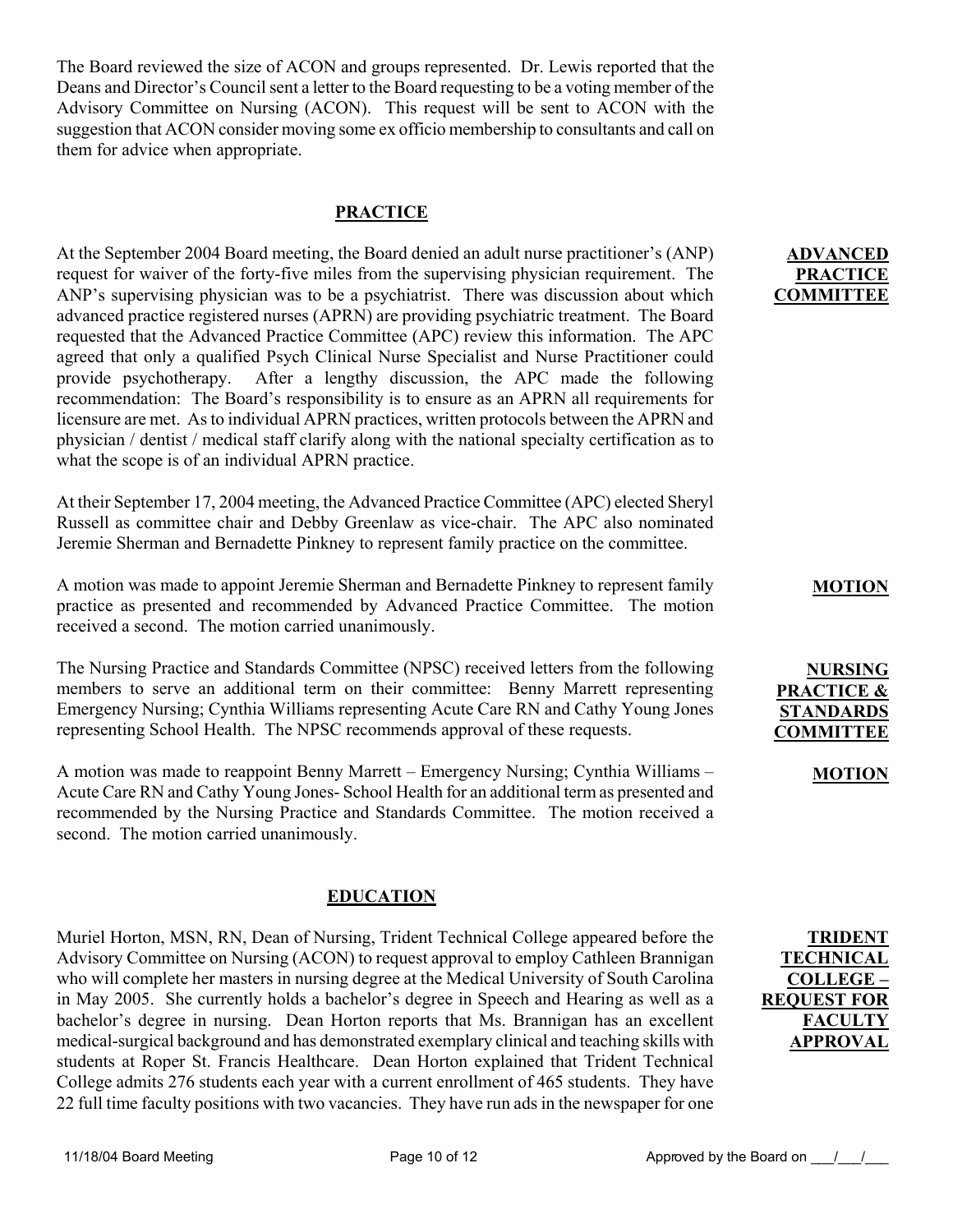The Board reviewed the size of ACON and groups represented. Dr. Lewis reported that the Deans and Director's Council sent a letter to the Board requesting to be a voting member of the Advisory Committee on Nursing (ACON). This request will be sent to ACON with the suggestion that ACON consider moving some ex officio membership to consultants and call on them for advice when appropriate.

# **PRACTICE**

At the September 2004 Board meeting, the Board denied an adult nurse practitioner's (ANP) request for waiver of the forty-five miles from the supervising physician requirement. The ANP's supervising physician was to be a psychiatrist. There was discussion about which advanced practice registered nurses (APRN) are providing psychiatric treatment. The Board requested that the Advanced Practice Committee (APC) review this information. The APC agreed that only a qualified Psych Clinical Nurse Specialist and Nurse Practitioner could provide psychotherapy. After a lengthy discussion, the APC made the following recommendation: The Board's responsibility is to ensure as an APRN all requirements for licensure are met. As to individual APRN practices, written protocols between the APRN and physician / dentist / medical staff clarify along with the national specialty certification as to what the scope is of an individual APRN practice.

At their September 17, 2004 meeting, the Advanced Practice Committee (APC) elected Sheryl Russell as committee chair and Debby Greenlaw as vice-chair. The APC also nominated Jeremie Sherman and Bernadette Pinkney to represent family practice on the committee.

A motion was made to appoint Jeremie Sherman and Bernadette Pinkney to represent family practice as presented and recommended by Advanced Practice Committee. The motion received a second. The motion carried unanimously.

The Nursing Practice and Standards Committee (NPSC) received letters from the following members to serve an additional term on their committee: Benny Marrett representing Emergency Nursing; Cynthia Williams representing Acute Care RN and Cathy Young Jones representing School Health. The NPSC recommends approval of these requests.

A motion was made to reappoint Benny Marrett – Emergency Nursing; Cynthia Williams – Acute Care RN and Cathy Young Jones- School Health for an additional term as presented and recommended by the Nursing Practice and Standards Committee. The motion received a second. The motion carried unanimously.

## **EDUCATION**

Muriel Horton, MSN, RN, Dean of Nursing, Trident Technical College appeared before the Advisory Committee on Nursing (ACON) to request approval to employ Cathleen Brannigan who will complete her masters in nursing degree at the Medical University of South Carolina in May 2005. She currently holds a bachelor's degree in Speech and Hearing as well as a bachelor's degree in nursing. Dean Horton reports that Ms. Brannigan has an excellent medical-surgical background and has demonstrated exemplary clinical and teaching skills with students at Roper St. Francis Healthcare. Dean Horton explained that Trident Technical College admits 276 students each year with a current enrollment of 465 students. They have 22 full time faculty positions with two vacancies. They have run ads in the newspaper for one

**ADVANCED PRACTICE COMMITTEE**

#### **MOTION**

**NURSING PRACTICE & STANDARDS COMMITTEE**

#### **MOTION**

**TRIDENT TECHNICAL COLLEGE – REQUEST FOR FACULTY APPROVAL**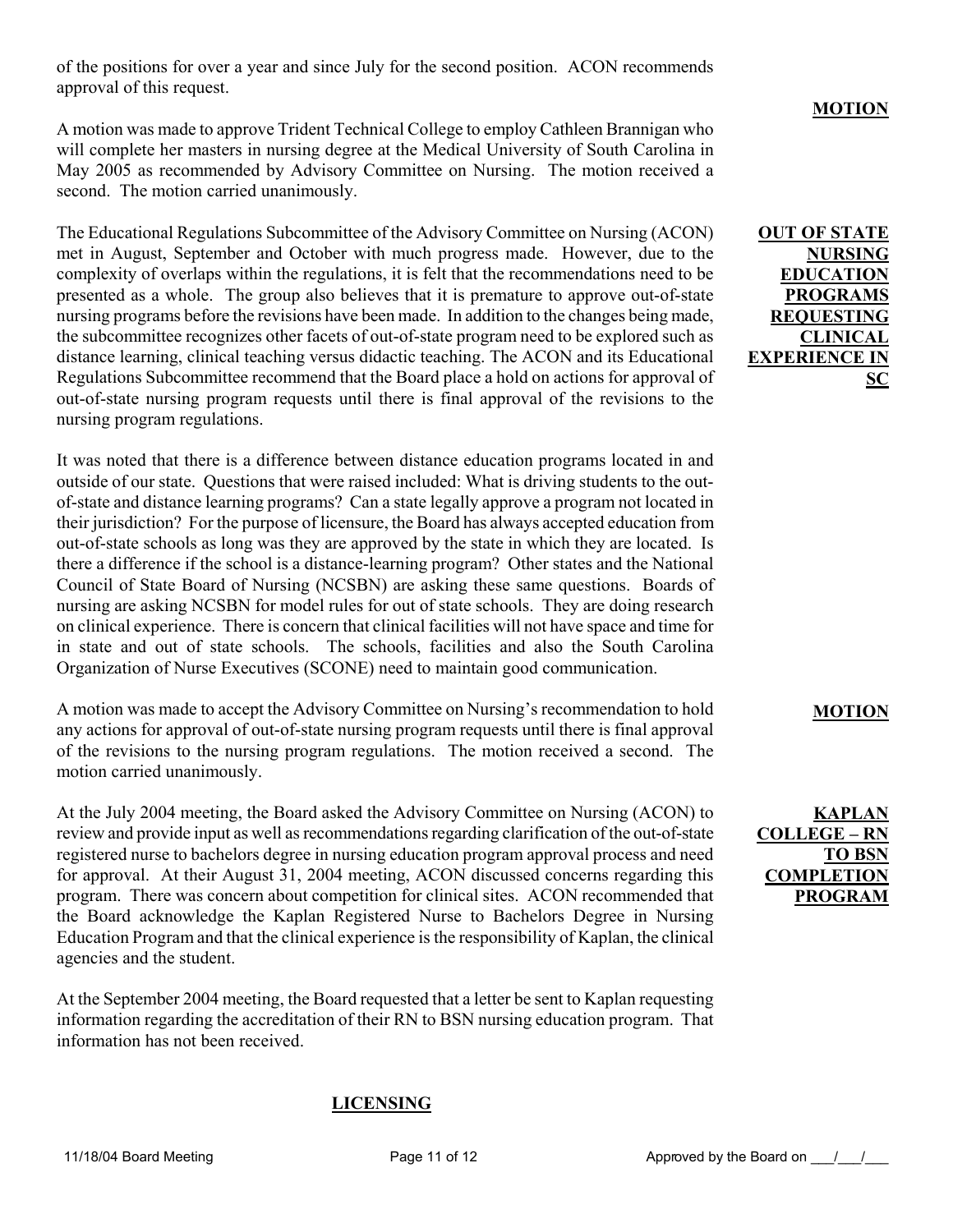of the positions for over a year and since July for the second position. ACON recommends approval of this request.

A motion was made to approve Trident Technical College to employ Cathleen Brannigan who will complete her masters in nursing degree at the Medical University of South Carolina in May 2005 as recommended by Advisory Committee on Nursing. The motion received a second. The motion carried unanimously.

The Educational Regulations Subcommittee of the Advisory Committee on Nursing (ACON) met in August, September and October with much progress made. However, due to the complexity of overlaps within the regulations, it is felt that the recommendations need to be presented as a whole. The group also believes that it is premature to approve out-of-state nursing programs before the revisions have been made. In addition to the changes being made, the subcommittee recognizes other facets of out-of-state program need to be explored such as distance learning, clinical teaching versus didactic teaching. The ACON and its Educational Regulations Subcommittee recommend that the Board place a hold on actions for approval of out-of-state nursing program requests until there is final approval of the revisions to the nursing program regulations.

It was noted that there is a difference between distance education programs located in and outside of our state. Questions that were raised included: What is driving students to the outof-state and distance learning programs? Can a state legally approve a program not located in their jurisdiction? For the purpose of licensure, the Board has always accepted education from out-of-state schools as long was they are approved by the state in which they are located. Is there a difference if the school is a distance-learning program? Other states and the National Council of State Board of Nursing (NCSBN) are asking these same questions. Boards of nursing are asking NCSBN for model rules for out of state schools. They are doing research on clinical experience. There is concern that clinical facilities will not have space and time for in state and out of state schools. The schools, facilities and also the South Carolina Organization of Nurse Executives (SCONE) need to maintain good communication.

A motion was made to accept the Advisory Committee on Nursing's recommendation to hold any actions for approval of out-of-state nursing program requests until there is final approval of the revisions to the nursing program regulations. The motion received a second. The motion carried unanimously.

At the July 2004 meeting, the Board asked the Advisory Committee on Nursing (ACON) to review and provide input as well as recommendations regarding clarification of the out-of-state registered nurse to bachelors degree in nursing education program approval process and need for approval. At their August 31, 2004 meeting, ACON discussed concerns regarding this program. There was concern about competition for clinical sites. ACON recommended that the Board acknowledge the Kaplan Registered Nurse to Bachelors Degree in Nursing Education Program and that the clinical experience is the responsibility of Kaplan, the clinical agencies and the student.

At the September 2004 meeting, the Board requested that a letter be sent to Kaplan requesting information regarding the accreditation of their RN to BSN nursing education program. That information has not been received.

# **LICENSING**

**MOTION**

**OUT OF STATE NURSING EDUCATION PROGRAMS REQUESTING CLINICAL EXPERIENCE IN SC**

# **MOTION**

**KAPLAN COLLEGE – RN TO BSN COMPLETION PROGRAM**